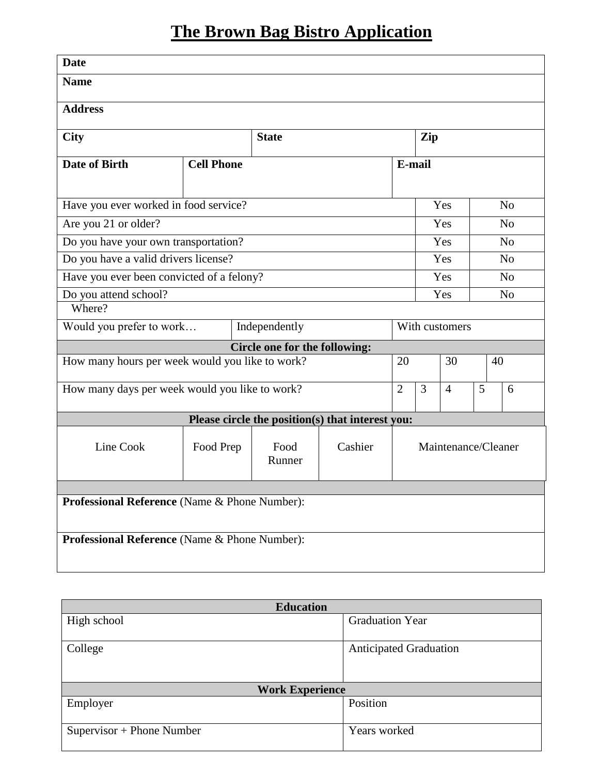## **The Brown Bag Bistro Application**

| <b>Date</b>                                     |                   |                               |                                                  |                                                 |                |  |                |                |  |
|-------------------------------------------------|-------------------|-------------------------------|--------------------------------------------------|-------------------------------------------------|----------------|--|----------------|----------------|--|
| <b>Name</b>                                     |                   |                               |                                                  |                                                 |                |  |                |                |  |
| <b>Address</b>                                  |                   |                               |                                                  |                                                 |                |  |                |                |  |
| <b>City</b>                                     | <b>State</b>      |                               |                                                  | Zip                                             |                |  |                |                |  |
| <b>Date of Birth</b>                            | <b>Cell Phone</b> |                               | E-mail                                           |                                                 |                |  |                |                |  |
| Have you ever worked in food service?           |                   |                               |                                                  |                                                 | Yes            |  |                | N <sub>o</sub> |  |
| Are you 21 or older?                            |                   |                               |                                                  |                                                 | Yes            |  |                | N <sub>o</sub> |  |
| Do you have your own transportation?            |                   |                               |                                                  |                                                 | Yes            |  |                | N <sub>o</sub> |  |
| Do you have a valid drivers license?            |                   |                               |                                                  |                                                 | Yes            |  |                | N <sub>o</sub> |  |
| Have you ever been convicted of a felony?       |                   |                               |                                                  |                                                 | Yes            |  |                | N <sub>0</sub> |  |
| Do you attend school?<br>Where?                 |                   |                               |                                                  |                                                 | Yes            |  | N <sub>o</sub> |                |  |
| Would you prefer to work<br>Independently       |                   |                               |                                                  |                                                 | With customers |  |                |                |  |
|                                                 |                   | Circle one for the following: |                                                  |                                                 |                |  |                |                |  |
| How many hours per week would you like to work? |                   |                               |                                                  | 30<br>20                                        |                |  | 40             |                |  |
| How many days per week would you like to work?  |                   |                               |                                                  | 3<br>5<br>$\overline{2}$<br>$\overline{4}$<br>6 |                |  |                |                |  |
|                                                 |                   |                               | Please circle the position(s) that interest you: |                                                 |                |  |                |                |  |
| Line Cook                                       | Food Prep         | Food<br>Runner                | Cashier                                          | Maintenance/Cleaner                             |                |  |                |                |  |
| Professional Reference (Name & Phone Number):   |                   |                               |                                                  |                                                 |                |  |                |                |  |
| Professional Reference (Name & Phone Number):   |                   |                               |                                                  |                                                 |                |  |                |                |  |

| <b>Education</b>            |                               |  |  |  |  |  |
|-----------------------------|-------------------------------|--|--|--|--|--|
| High school                 | <b>Graduation Year</b>        |  |  |  |  |  |
|                             |                               |  |  |  |  |  |
| College                     | <b>Anticipated Graduation</b> |  |  |  |  |  |
|                             |                               |  |  |  |  |  |
|                             |                               |  |  |  |  |  |
| <b>Work Experience</b>      |                               |  |  |  |  |  |
| Employer                    | Position                      |  |  |  |  |  |
|                             |                               |  |  |  |  |  |
| $Supervisor + Phone Number$ | Years worked                  |  |  |  |  |  |
|                             |                               |  |  |  |  |  |